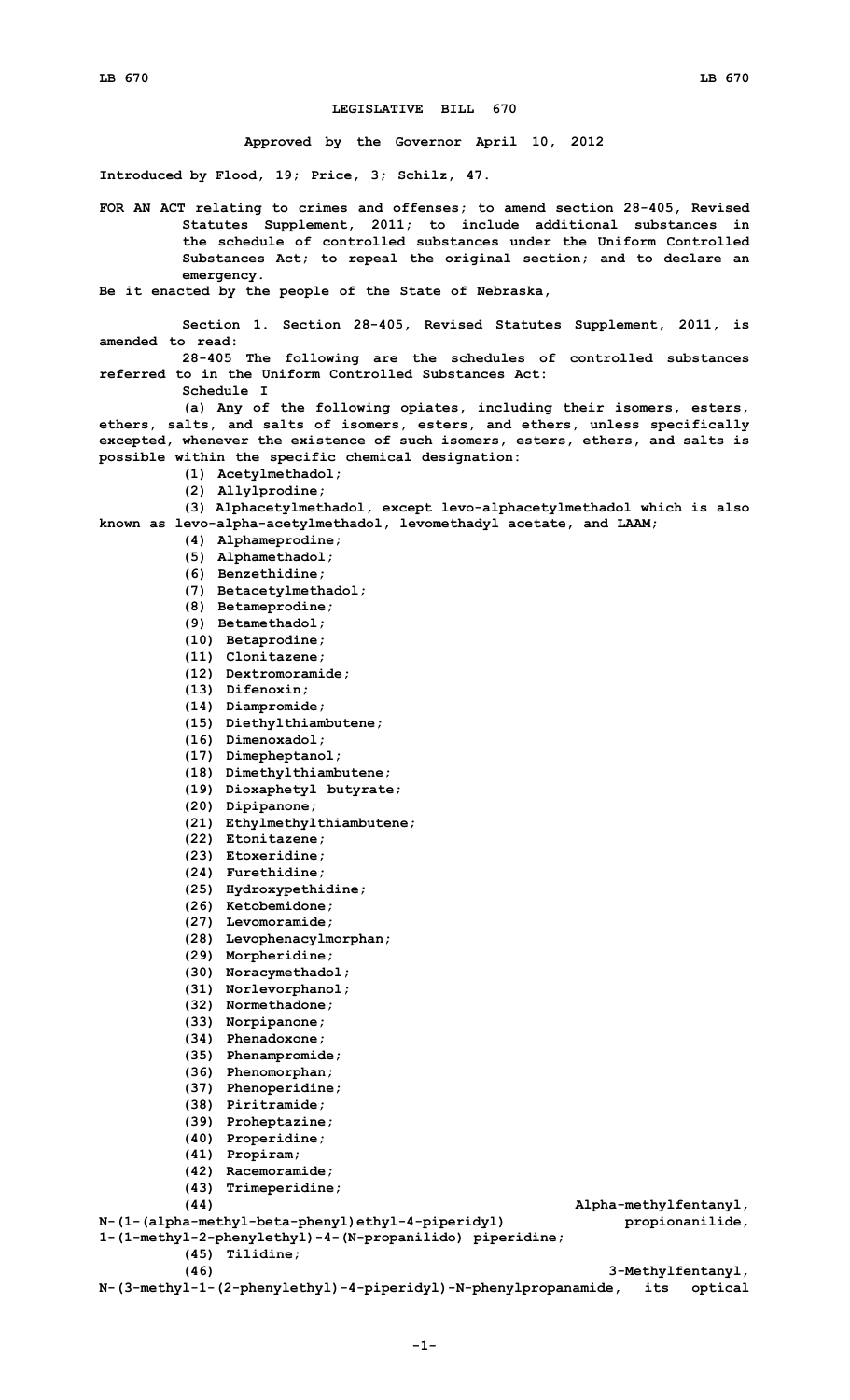## **LEGISLATIVE BILL 670**

**Approved by the Governor April 10, 2012**

**Introduced by Flood, 19; Price, 3; Schilz, 47.**

**FOR AN ACT relating to crimes and offenses; to amend section 28-405, Revised Statutes Supplement, 2011; to include additional substances in the schedule of controlled substances under the Uniform Controlled Substances Act; to repeal the original section; and to declare an emergency.**

**Be it enacted by the people of the State of Nebraska,**

**Section 1. Section 28-405, Revised Statutes Supplement, 2011, is amended to read: 28-405 The following are the schedules of controlled substances referred to in the Uniform Controlled Substances Act:**

**Schedule I**

- **(a) Any of the following opiates, including their isomers, esters, ethers, salts, and salts of isomers, esters, and ethers, unless specifically excepted, whenever the existence of such isomers, esters, ethers, and salts is possible within the specific chemical designation:**
	- **(1) Acetylmethadol;**
	- **(2) Allylprodine;**

**(3) Alphacetylmethadol, except levo-alphacetylmethadol which is also known as levo-alpha-acetylmethadol, levomethadyl acetate, and LAAM;**

- **(4) Alphameprodine;**
- **(5) Alphamethadol;**
- **(6) Benzethidine;**
- **(7) Betacetylmethadol;**
- **(8) Betameprodine;**
- **(9) Betamethadol;**
- **(10) Betaprodine;**
- **(11) Clonitazene;**
- **(12) Dextromoramide;**
- **(13) Difenoxin;**
- **(14) Diampromide;**
- **(15) Diethylthiambutene;**
- **(16) Dimenoxadol;**
- **(17) Dimepheptanol;**
- **(18) Dimethylthiambutene;**
- **(19) Dioxaphetyl butyrate;**
- **(20) Dipipanone;**
- **(21) Ethylmethylthiambutene;**
- **(22) Etonitazene;**
- **(23) Etoxeridine;**
- **(24) Furethidine;**
- **(25) Hydroxypethidine;**
- **(26) Ketobemidone;**
- **(27) Levomoramide;**
- **(28) Levophenacylmorphan;**
- **(29) Morpheridine;**
- **(30) Noracymethadol;**
- **(31) Norlevorphanol;**
- **(32) Normethadone;**
- **(33) Norpipanone;**
- 
- **(34) Phenadoxone;**
- **(35) Phenampromide; (36) Phenomorphan;**
- 
- **(37) Phenoperidine;**
- **(38) Piritramide;**
- **(39) Proheptazine;**
- **(40) Properidine;**
- **(41) Propiram;**
- **(42) Racemoramide;**
- **(43) Trimeperidine;**

**(44) Alpha-methylfentanyl,**

```
N-(1-(alpha-methyl-beta-phenyl)ethyl-4-piperidyl) propionanilide,
1-(1-methyl-2-phenylethyl)-4-(N-propanilido) piperidine;
         (45) Tilidine;
```
**(46) 3-Methylfentanyl,**

**N-(3-methyl-1-(2-phenylethyl)-4-piperidyl)-N-phenylpropanamide, its optical**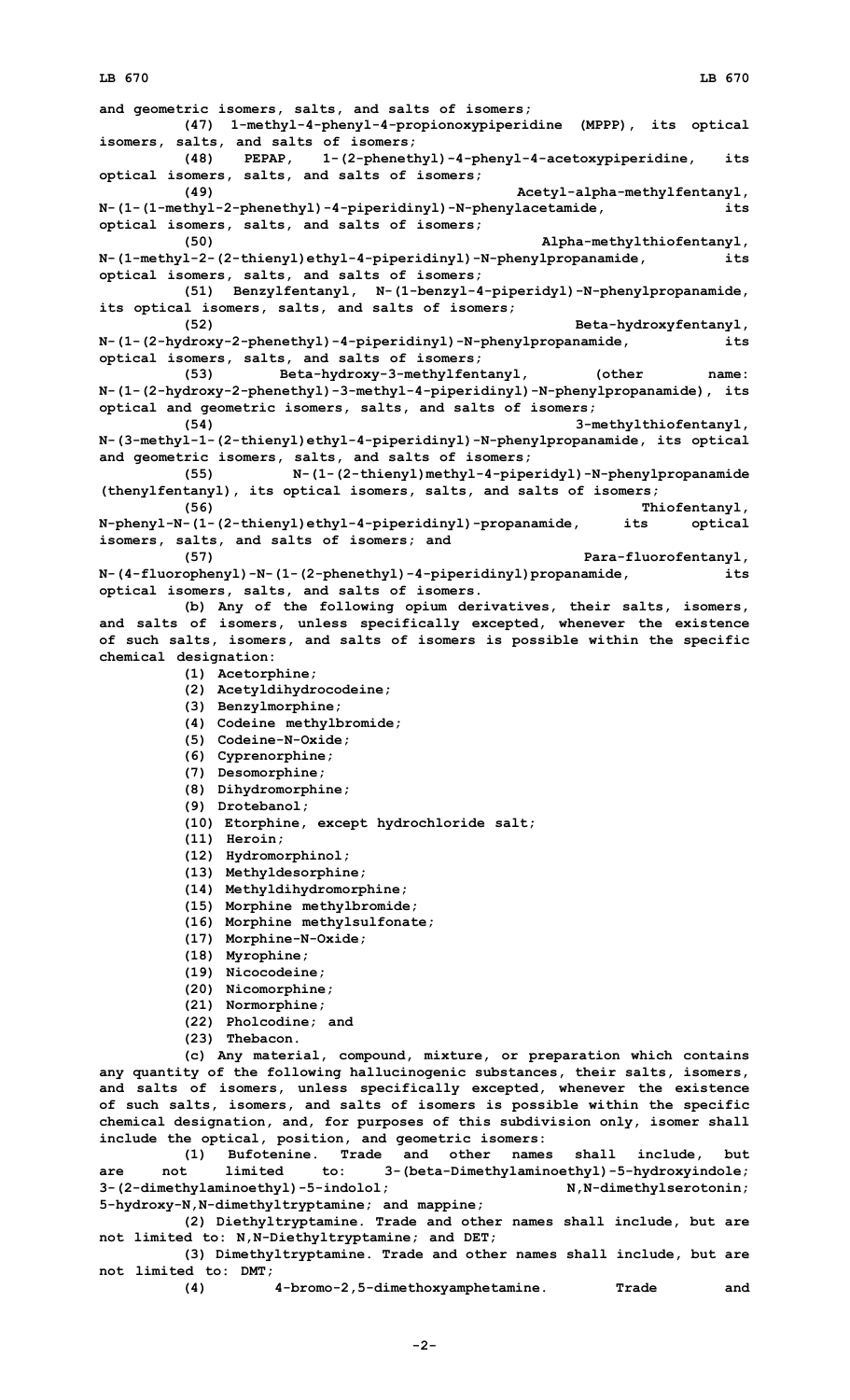## **LB 670 LB 670**

**and geometric isomers, salts, and salts of isomers; (47) 1-methyl-4-phenyl-4-propionoxypiperidine (MPPP), its optical isomers, salts, and salts of isomers; (48) PEPAP, 1-(2-phenethyl)-4-phenyl-4-acetoxypiperidine, its optical isomers, salts, and salts of isomers; (49) Acetyl-alpha-methylfentanyl, N-(1-(1-methyl-2-phenethyl)-4-piperidinyl)-N-phenylacetamide, its optical isomers, salts, and salts of isomers; (50) Alpha-methylthiofentanyl, N-(1-methyl-2-(2-thienyl)ethyl-4-piperidinyl)-N-phenylpropanamide, its optical isomers, salts, and salts of isomers; (51) Benzylfentanyl, N-(1-benzyl-4-piperidyl)-N-phenylpropanamide, its optical isomers, salts, and salts of isomers; (52) Beta-hydroxyfentanyl, N-(1-(2-hydroxy-2-phenethyl)-4-piperidinyl)-N-phenylpropanamide, its optical isomers, salts, and salts of isomers; (53) Beta-hydroxy-3-methylfentanyl, (other name: N-(1-(2-hydroxy-2-phenethyl)-3-methyl-4-piperidinyl)-N-phenylpropanamide), its optical and geometric isomers, salts, and salts of isomers; (54) 3-methylthiofentanyl, N-(3-methyl-1-(2-thienyl)ethyl-4-piperidinyl)-N-phenylpropanamide, its optical and geometric isomers, salts, and salts of isomers; (55) N-(1-(2-thienyl)methyl-4-piperidyl)-N-phenylpropanamide (thenylfentanyl), its optical isomers, salts, and salts of isomers; (56) Thiofentanyl, N-phenyl-N-(1-(2-thienyl)ethyl-4-piperidinyl)-propanamide, its optical isomers, salts, and salts of isomers; and (57) Para-fluorofentanyl, N-(4-fluorophenyl)-N-(1-(2-phenethyl)-4-piperidinyl)propanamide, its optical isomers, salts, and salts of isomers. (b) Any of the following opium derivatives, their salts, isomers, and salts of isomers, unless specifically excepted, whenever the existence of such salts, isomers, and salts of isomers is possible within the specific chemical designation: (1) Acetorphine; (2) Acetyldihydrocodeine; (3) Benzylmorphine; (4) Codeine methylbromide; (5) Codeine-N-Oxide; (6) Cyprenorphine; (7) Desomorphine; (8) Dihydromorphine; (9) Drotebanol; (10) Etorphine, except hydrochloride salt; (11) Heroin; (12) Hydromorphinol; (13) Methyldesorphine; (14) Methyldihydromorphine; (15) Morphine methylbromide; (16) Morphine methylsulfonate; (17) Morphine-N-Oxide; (18) Myrophine; (19) Nicocodeine; (20) Nicomorphine; (21) Normorphine; (22) Pholcodine; and (23) Thebacon. (c) Any material, compound, mixture, or preparation which contains any quantity of the following hallucinogenic substances, their salts, isomers, and salts of isomers, unless specifically excepted, whenever the existence of such salts, isomers, and salts of isomers is possible within the specific chemical designation, and, for purposes of this subdivision only, isomer shall include the optical, position, and geometric isomers: (1) Bufotenine. Trade and other names shall include, but**

**are not limited to: 3-(beta-Dimethylaminoethyl)-5-hydroxyindole; 3-(2-dimethylaminoethyl)-5-indolol; N,N-dimethylserotonin; 5-hydroxy-N,N-dimethyltryptamine; and mappine;**

**(2) Diethyltryptamine. Trade and other names shall include, but are not limited to: N,N-Diethyltryptamine; and DET;**

**(3) Dimethyltryptamine. Trade and other names shall include, but are not limited to: DMT;**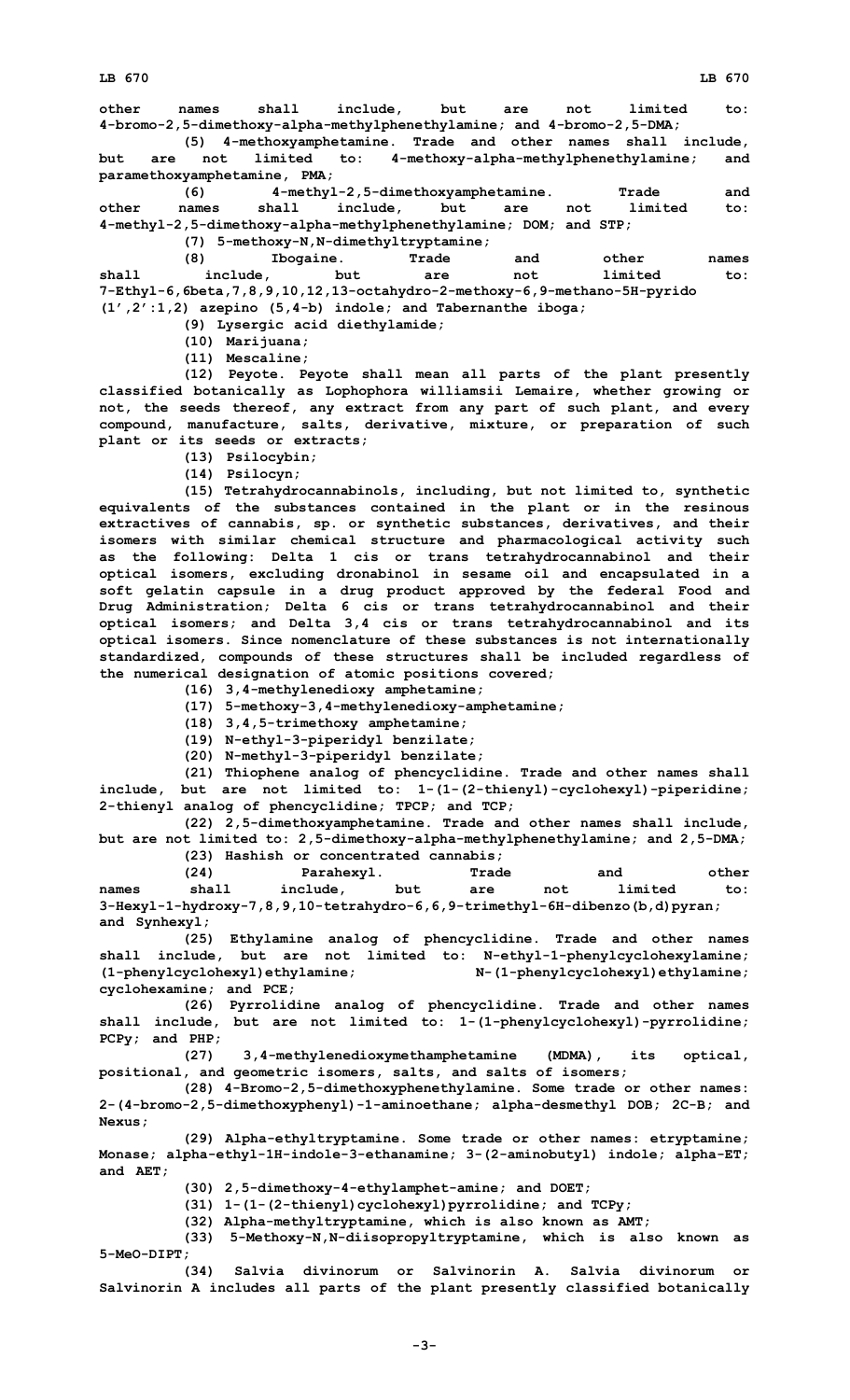**other names shall include, but are not limited to: 4-bromo-2,5-dimethoxy-alpha-methylphenethylamine; and 4-bromo-2,5-DMA;**

**(5) 4-methoxyamphetamine. Trade and other names shall include, but are not limited to: 4-methoxy-alpha-methylphenethylamine; and paramethoxyamphetamine, PMA;**

**(6) 4-methyl-2,5-dimethoxyamphetamine. Trade and other names shall include, but are not limited to: 4-methyl-2,5-dimethoxy-alpha-methylphenethylamine; DOM; and STP;**

**(7) 5-methoxy-N,N-dimethyltryptamine;**

|                                                                          | (8)      | Ibogaine.                                                          | Trade | and | other   | names |
|--------------------------------------------------------------------------|----------|--------------------------------------------------------------------|-------|-----|---------|-------|
| shall                                                                    | include, | but                                                                | are   | not | limited | to:   |
| 7-Ethyl-6,6beta,7,8,9,10,12,13-octahydro-2-methoxy-6,9-methano-5H-pyrido |          |                                                                    |       |     |         |       |
|                                                                          |          | $(1', 2': 1, 2)$ azepino $(5, 4-b)$ indole; and Tabernanthe iboga; |       |     |         |       |

**(9) Lysergic acid diethylamide;**

**(10) Marijuana;**

**(11) Mescaline;**

**(12) Peyote. Peyote shall mean all parts of the plant presently classified botanically as Lophophora williamsii Lemaire, whether growing or not, the seeds thereof, any extract from any part of such plant, and every compound, manufacture, salts, derivative, mixture, or preparation of such plant or its seeds or extracts;**

**(13) Psilocybin;**

**(14) Psilocyn;**

**(15) Tetrahydrocannabinols, including, but not limited to, synthetic equivalents of the substances contained in the plant or in the resinous extractives of cannabis, sp. or synthetic substances, derivatives, and their isomers with similar chemical structure and pharmacological activity such as the following: Delta 1 cis or trans tetrahydrocannabinol and their optical isomers, excluding dronabinol in sesame oil and encapsulated in <sup>a</sup> soft gelatin capsule in <sup>a</sup> drug product approved by the federal Food and Drug Administration; Delta 6 cis or trans tetrahydrocannabinol and their optical isomers; and Delta 3,4 cis or trans tetrahydrocannabinol and its optical isomers. Since nomenclature of these substances is not internationally standardized, compounds of these structures shall be included regardless of the numerical designation of atomic positions covered;**

**(16) 3,4-methylenedioxy amphetamine;**

**(17) 5-methoxy-3,4-methylenedioxy-amphetamine;**

**(18) 3,4,5-trimethoxy amphetamine;**

**(19) N-ethyl-3-piperidyl benzilate;**

**(20) N-methyl-3-piperidyl benzilate;**

**(21) Thiophene analog of phencyclidine. Trade and other names shall include, but are not limited to: 1-(1-(2-thienyl)-cyclohexyl)-piperidine; 2-thienyl analog of phencyclidine; TPCP; and TCP;**

**(22) 2,5-dimethoxyamphetamine. Trade and other names shall include, but are not limited to: 2,5-dimethoxy-alpha-methylphenethylamine; and 2,5-DMA;**

**(23) Hashish or concentrated cannabis; (24) Parahexyl. Trade and other names shall include, but are not limited to: 3-Hexyl-1-hydroxy-7,8,9,10-tetrahydro-6,6,9-trimethyl-6H-dibenzo(b,d)pyran; and Synhexyl;**

**(25) Ethylamine analog of phencyclidine. Trade and other names shall include, but are not limited to: N-ethyl-1-phenylcyclohexylamine; (1-phenylcyclohexyl)ethylamine; N-(1-phenylcyclohexyl)ethylamine; cyclohexamine; and PCE;**

**(26) Pyrrolidine analog of phencyclidine. Trade and other names shall include, but are not limited to: 1-(1-phenylcyclohexyl)-pyrrolidine; PCPy; and PHP;**

**(27) 3,4-methylenedioxymethamphetamine (MDMA), its optical, positional, and geometric isomers, salts, and salts of isomers;**

**(28) 4-Bromo-2,5-dimethoxyphenethylamine. Some trade or other names: 2-(4-bromo-2,5-dimethoxyphenyl)-1-aminoethane; alpha-desmethyl DOB; 2C-B; and Nexus;**

**(29) Alpha-ethyltryptamine. Some trade or other names: etryptamine; Monase; alpha-ethyl-1H-indole-3-ethanamine; 3-(2-aminobutyl) indole; alpha-ET; and AET;**

**(30) 2,5-dimethoxy-4-ethylamphet-amine; and DOET;**

**(31) 1-(1-(2-thienyl)cyclohexyl)pyrrolidine; and TCPy;**

**(32) Alpha-methyltryptamine, which is also known as AMT;**

**(33) 5-Methoxy-N,N-diisopropyltryptamine, which is also known as 5-MeO-DIPT;**

**(34) Salvia divinorum or Salvinorin A. Salvia divinorum or Salvinorin A includes all parts of the plant presently classified botanically**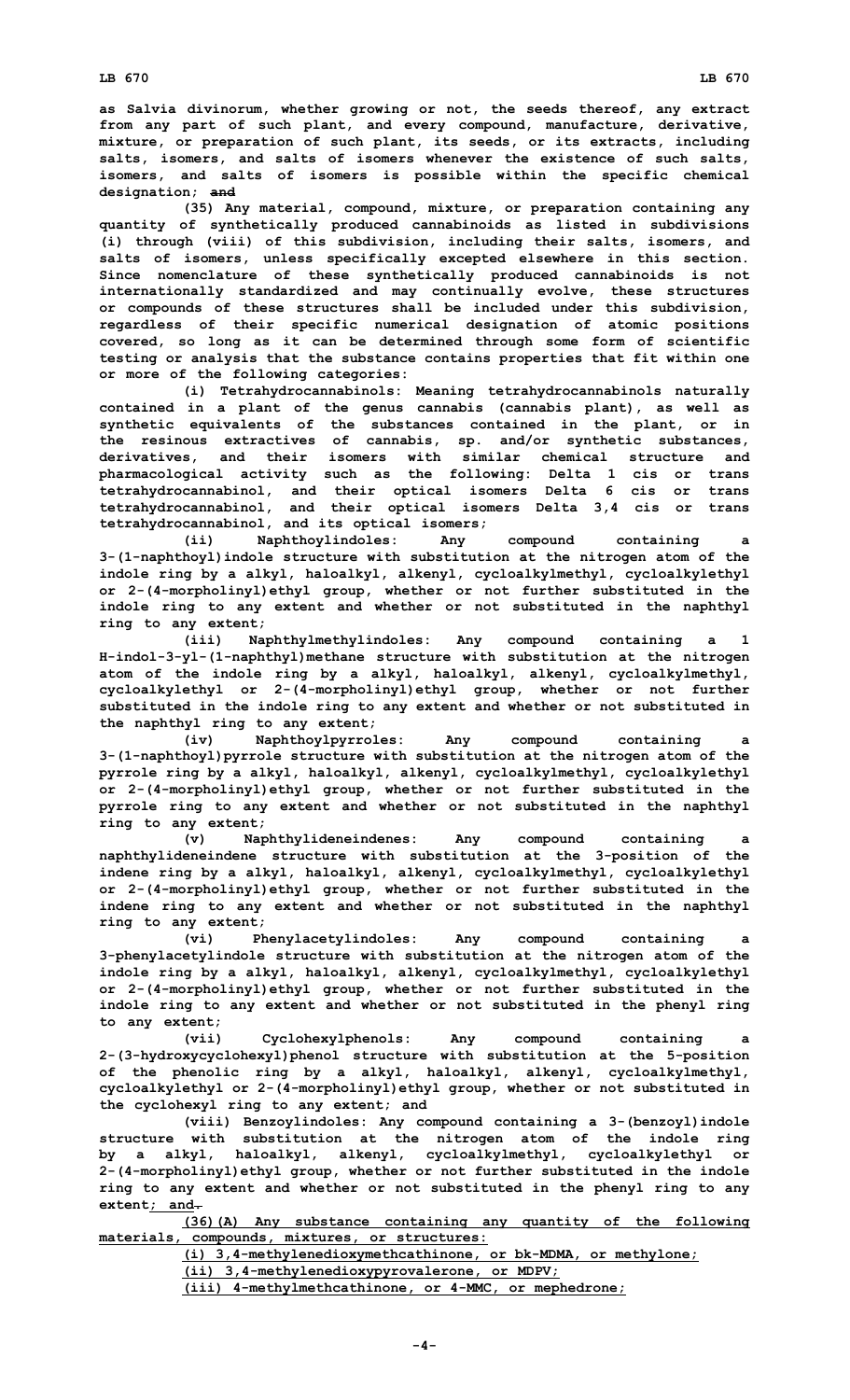**as Salvia divinorum, whether growing or not, the seeds thereof, any extract from any part of such plant, and every compound, manufacture, derivative, mixture, or preparation of such plant, its seeds, or its extracts, including salts, isomers, and salts of isomers whenever the existence of such salts, isomers, and salts of isomers is possible within the specific chemical designation; and**

**(35) Any material, compound, mixture, or preparation containing any quantity of synthetically produced cannabinoids as listed in subdivisions (i) through (viii) of this subdivision, including their salts, isomers, and salts of isomers, unless specifically excepted elsewhere in this section. Since nomenclature of these synthetically produced cannabinoids is not internationally standardized and may continually evolve, these structures or compounds of these structures shall be included under this subdivision, regardless of their specific numerical designation of atomic positions covered, so long as it can be determined through some form of scientific testing or analysis that the substance contains properties that fit within one or more of the following categories:**

**(i) Tetrahydrocannabinols: Meaning tetrahydrocannabinols naturally contained in <sup>a</sup> plant of the genus cannabis (cannabis plant), as well as synthetic equivalents of the substances contained in the plant, or in the resinous extractives of cannabis, sp. and/or synthetic substances, derivatives, and their isomers with similar chemical structure and pharmacological activity such as the following: Delta 1 cis or trans tetrahydrocannabinol, and their optical isomers Delta 6 cis or trans tetrahydrocannabinol, and their optical isomers Delta 3,4 cis or trans tetrahydrocannabinol, and its optical isomers;**

**(ii) Naphthoylindoles: Any compound containing <sup>a</sup> 3-(1-naphthoyl)indole structure with substitution at the nitrogen atom of the indole ring by <sup>a</sup> alkyl, haloalkyl, alkenyl, cycloalkylmethyl, cycloalkylethyl or 2-(4-morpholinyl)ethyl group, whether or not further substituted in the indole ring to any extent and whether or not substituted in the naphthyl ring to any extent;**

**(iii) Naphthylmethylindoles: Any compound containing <sup>a</sup> 1 H-indol-3-yl-(1-naphthyl)methane structure with substitution at the nitrogen atom of the indole ring by <sup>a</sup> alkyl, haloalkyl, alkenyl, cycloalkylmethyl, cycloalkylethyl or 2-(4-morpholinyl)ethyl group, whether or not further substituted in the indole ring to any extent and whether or not substituted in the naphthyl ring to any extent;**

**(iv) Naphthoylpyrroles: Any compound containing <sup>a</sup> 3-(1-naphthoyl)pyrrole structure with substitution at the nitrogen atom of the pyrrole ring by <sup>a</sup> alkyl, haloalkyl, alkenyl, cycloalkylmethyl, cycloalkylethyl or 2-(4-morpholinyl)ethyl group, whether or not further substituted in the pyrrole ring to any extent and whether or not substituted in the naphthyl ring to any extent;**

**(v) Naphthylideneindenes: Any compound containing <sup>a</sup> naphthylideneindene structure with substitution at the 3-position of the indene ring by <sup>a</sup> alkyl, haloalkyl, alkenyl, cycloalkylmethyl, cycloalkylethyl or 2-(4-morpholinyl)ethyl group, whether or not further substituted in the indene ring to any extent and whether or not substituted in the naphthyl ring to any extent;**

**(vi) Phenylacetylindoles: Any compound containing <sup>a</sup> 3-phenylacetylindole structure with substitution at the nitrogen atom of the indole ring by <sup>a</sup> alkyl, haloalkyl, alkenyl, cycloalkylmethyl, cycloalkylethyl or 2-(4-morpholinyl)ethyl group, whether or not further substituted in the indole ring to any extent and whether or not substituted in the phenyl ring to any extent;**

**(vii) Cyclohexylphenols: Any compound containing <sup>a</sup> 2-(3-hydroxycyclohexyl)phenol structure with substitution at the 5-position of the phenolic ring by <sup>a</sup> alkyl, haloalkyl, alkenyl, cycloalkylmethyl, cycloalkylethyl or 2-(4-morpholinyl)ethyl group, whether or not substituted in the cyclohexyl ring to any extent; and**

**(viii) Benzoylindoles: Any compound containing <sup>a</sup> 3-(benzoyl)indole structure with substitution at the nitrogen atom of the indole ring by <sup>a</sup> alkyl, haloalkyl, alkenyl, cycloalkylmethyl, cycloalkylethyl or 2-(4-morpholinyl)ethyl group, whether or not further substituted in the indole ring to any extent and whether or not substituted in the phenyl ring to any extent; and.**

**(36)(A) Any substance containing any quantity of the following materials, compounds, mixtures, or structures:**

**(i) 3,4-methylenedioxymethcathinone, or bk-MDMA, or methylone;**

**(ii) 3,4-methylenedioxypyrovalerone, or MDPV;**

**(iii) 4-methylmethcathinone, or 4-MMC, or mephedrone;**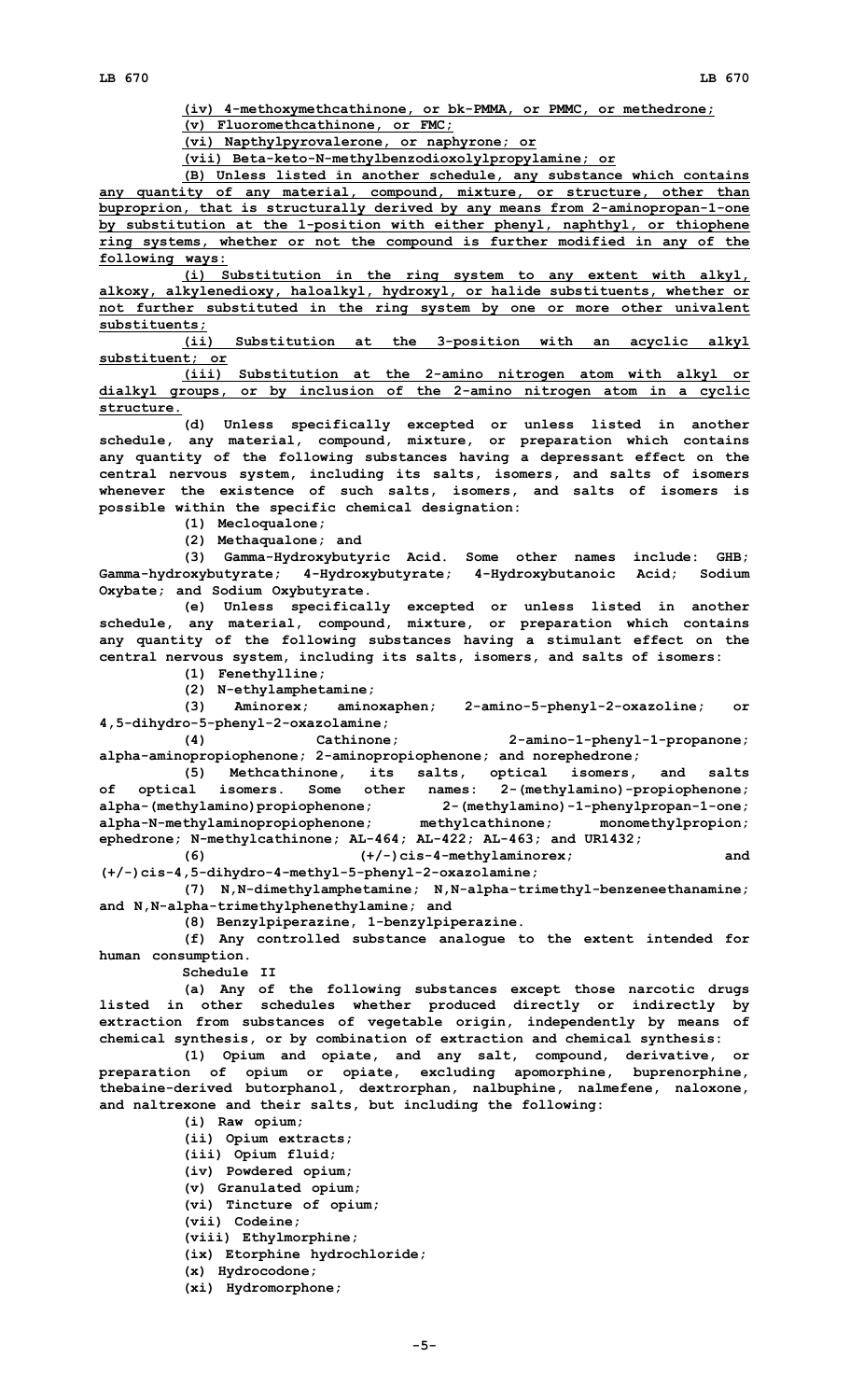**(iv) 4-methoxymethcathinone, or bk-PMMA, or PMMC, or methedrone;**

**(v) Fluoromethcathinone, or FMC;**

**(vi) Napthylpyrovalerone, or naphyrone; or**

**(vii) Beta-keto-N-methylbenzodioxolylpropylamine; or**

**(B) Unless listed in another schedule, any substance which contains any quantity of any material, compound, mixture, or structure, other than buproprion, that is structurally derived by any means from 2-aminopropan-1-one by substitution at the 1-position with either phenyl, naphthyl, or thiophene ring systems, whether or not the compound is further modified in any of the following ways:**

**(i) Substitution in the ring system to any extent with alkyl, alkoxy, alkylenedioxy, haloalkyl, hydroxyl, or halide substituents, whether or not further substituted in the ring system by one or more other univalent substituents;**

**(ii) Substitution at the 3-position with an acyclic alkyl substituent; or**

**(iii) Substitution at the 2-amino nitrogen atom with alkyl or dialkyl groups, or by inclusion of the 2-amino nitrogen atom in <sup>a</sup> cyclic structure.**

**(d) Unless specifically excepted or unless listed in another schedule, any material, compound, mixture, or preparation which contains any quantity of the following substances having <sup>a</sup> depressant effect on the central nervous system, including its salts, isomers, and salts of isomers whenever the existence of such salts, isomers, and salts of isomers is possible within the specific chemical designation:**

**(1) Mecloqualone;**

**(2) Methaqualone; and**

**(3) Gamma-Hydroxybutyric Acid. Some other names include: GHB; Gamma-hydroxybutyrate; 4-Hydroxybutyrate; 4-Hydroxybutanoic Acid; Sodium Oxybate; and Sodium Oxybutyrate.**

**(e) Unless specifically excepted or unless listed in another schedule, any material, compound, mixture, or preparation which contains any quantity of the following substances having <sup>a</sup> stimulant effect on the central nervous system, including its salts, isomers, and salts of isomers:**

**(1) Fenethylline;**

**(2) N-ethylamphetamine;**

**(3) Aminorex; aminoxaphen; 2-amino-5-phenyl-2-oxazoline; or 4,5-dihydro-5-phenyl-2-oxazolamine;**

**(4) Cathinone; 2-amino-1-phenyl-1-propanone; alpha-aminopropiophenone; 2-aminopropiophenone; and norephedrone;**

**(5) Methcathinone, its salts, optical isomers, and salts of optical isomers. Some other names: 2-(methylamino)-propiophenone; alpha-(methylamino)propiophenone; 2-(methylamino)-1-phenylpropan-1-one; alpha-N-methylaminopropiophenone; methylcathinone; monomethylpropion; ephedrone; N-methylcathinone; AL-464; AL-422; AL-463; and UR1432; (6) (+/-)cis-4-methylaminorex; and**

**(+/-)cis-4,5-dihydro-4-methyl-5-phenyl-2-oxazolamine;**

**(7) N,N-dimethylamphetamine; N,N-alpha-trimethyl-benzeneethanamine; and N,N-alpha-trimethylphenethylamine; and**

**(8) Benzylpiperazine, 1-benzylpiperazine.**

**(f) Any controlled substance analogue to the extent intended for human consumption.**

**Schedule II**

**(a) Any of the following substances except those narcotic drugs listed in other schedules whether produced directly or indirectly by extraction from substances of vegetable origin, independently by means of chemical synthesis, or by combination of extraction and chemical synthesis:**

**(1) Opium and opiate, and any salt, compound, derivative, or preparation of opium or opiate, excluding apomorphine, buprenorphine, thebaine-derived butorphanol, dextrorphan, nalbuphine, nalmefene, naloxone, and naltrexone and their salts, but including the following:**

**(i) Raw opium; (ii) Opium extracts; (iii) Opium fluid; (iv) Powdered opium; (v) Granulated opium; (vi) Tincture of opium; (vii) Codeine; (viii) Ethylmorphine; (ix) Etorphine hydrochloride; (x) Hydrocodone; (xi) Hydromorphone;**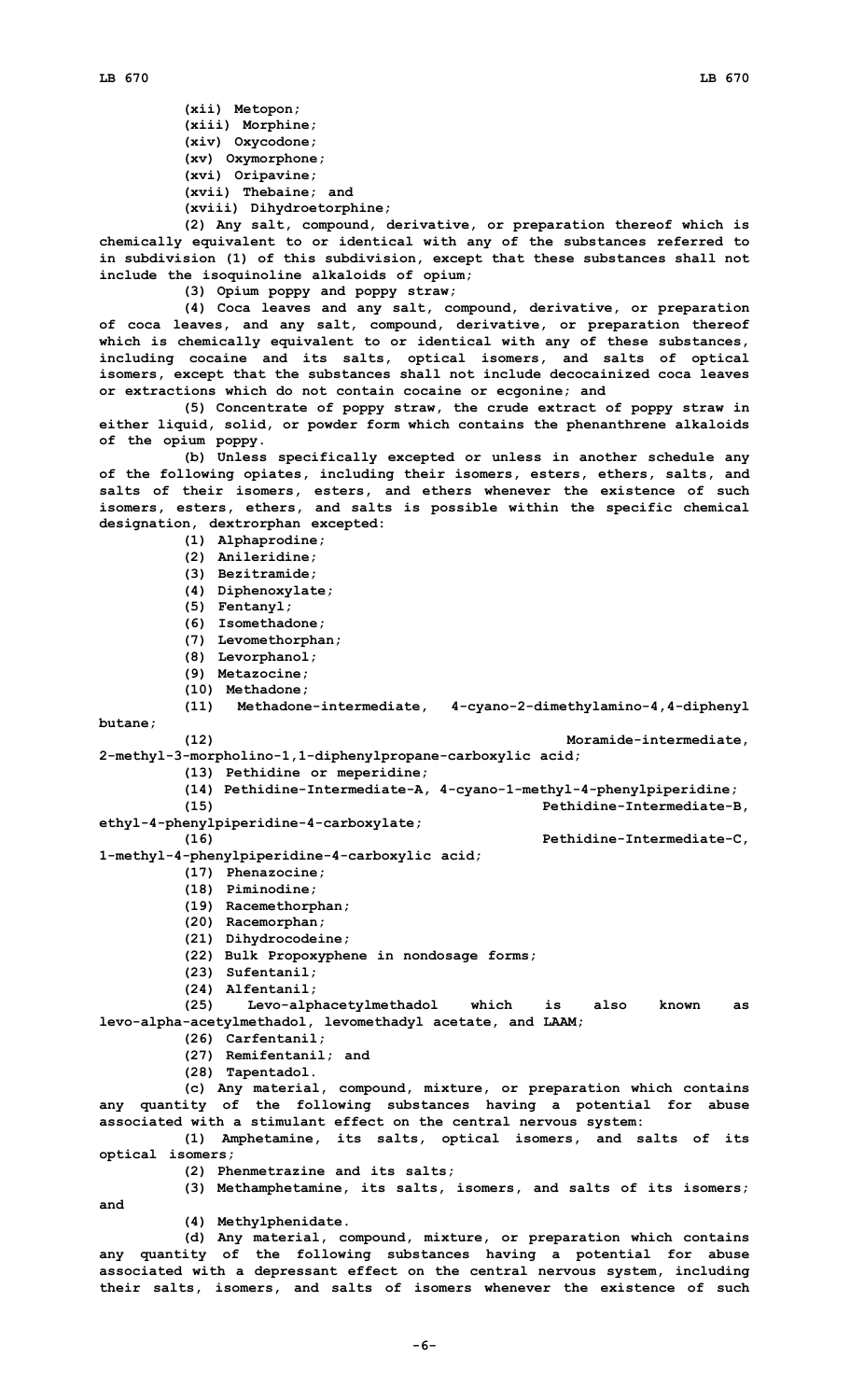**(xii) Metopon; (xiii) Morphine; (xiv) Oxycodone; (xv) Oxymorphone; (xvi) Oripavine; (xvii) Thebaine; and (xviii) Dihydroetorphine;**

**(2) Any salt, compound, derivative, or preparation thereof which is chemically equivalent to or identical with any of the substances referred to in subdivision (1) of this subdivision, except that these substances shall not include the isoquinoline alkaloids of opium;**

**(3) Opium poppy and poppy straw;**

**(4) Coca leaves and any salt, compound, derivative, or preparation of coca leaves, and any salt, compound, derivative, or preparation thereof which is chemically equivalent to or identical with any of these substances, including cocaine and its salts, optical isomers, and salts of optical isomers, except that the substances shall not include decocainized coca leaves or extractions which do not contain cocaine or ecgonine; and**

**(5) Concentrate of poppy straw, the crude extract of poppy straw in either liquid, solid, or powder form which contains the phenanthrene alkaloids of the opium poppy.**

**(b) Unless specifically excepted or unless in another schedule any of the following opiates, including their isomers, esters, ethers, salts, and salts of their isomers, esters, and ethers whenever the existence of such isomers, esters, ethers, and salts is possible within the specific chemical designation, dextrorphan excepted:**

**(1) Alphaprodine;**

- **(2) Anileridine;**
- **(3) Bezitramide;**
- **(4) Diphenoxylate;**
- **(5) Fentanyl;**
- **(6) Isomethadone;**
- **(7) Levomethorphan;**
- 
- **(8) Levorphanol;**
- **(9) Metazocine;**
- **(10) Methadone;**

**(11) Methadone-intermediate, 4-cyano-2-dimethylamino-4,4-diphenyl butane;**

**(12) Moramide-intermediate,**

- **2-methyl-3-morpholino-1,1-diphenylpropane-carboxylic acid; (13) Pethidine or meperidine;**
	- **(14) Pethidine-Intermediate-A, 4-cyano-1-methyl-4-phenylpiperidine;**
	- **(15) Pethidine-Intermediate-B,**
- **ethyl-4-phenylpiperidine-4-carboxylate;**
	- **(16) Pethidine-Intermediate-C,**

**1-methyl-4-phenylpiperidine-4-carboxylic acid;**

- **(17) Phenazocine;**
- **(18) Piminodine;**
- **(19) Racemethorphan;**
- **(20) Racemorphan;**
- **(21) Dihydrocodeine;**
- **(22) Bulk Propoxyphene in nondosage forms;**
- **(23) Sufentanil;**
- **(24) Alfentanil;**

**(25) Levo-alphacetylmethadol which is also known as levo-alpha-acetylmethadol, levomethadyl acetate, and LAAM;**

**(26) Carfentanil;**

- **(27) Remifentanil; and**
- **(28) Tapentadol.**

**(c) Any material, compound, mixture, or preparation which contains any quantity of the following substances having <sup>a</sup> potential for abuse associated with <sup>a</sup> stimulant effect on the central nervous system:**

**(1) Amphetamine, its salts, optical isomers, and salts of its optical isomers;**

**(2) Phenmetrazine and its salts;**

**(3) Methamphetamine, its salts, isomers, and salts of its isomers;**

**and**

**(4) Methylphenidate.**

**(d) Any material, compound, mixture, or preparation which contains any quantity of the following substances having <sup>a</sup> potential for abuse associated with <sup>a</sup> depressant effect on the central nervous system, including their salts, isomers, and salts of isomers whenever the existence of such**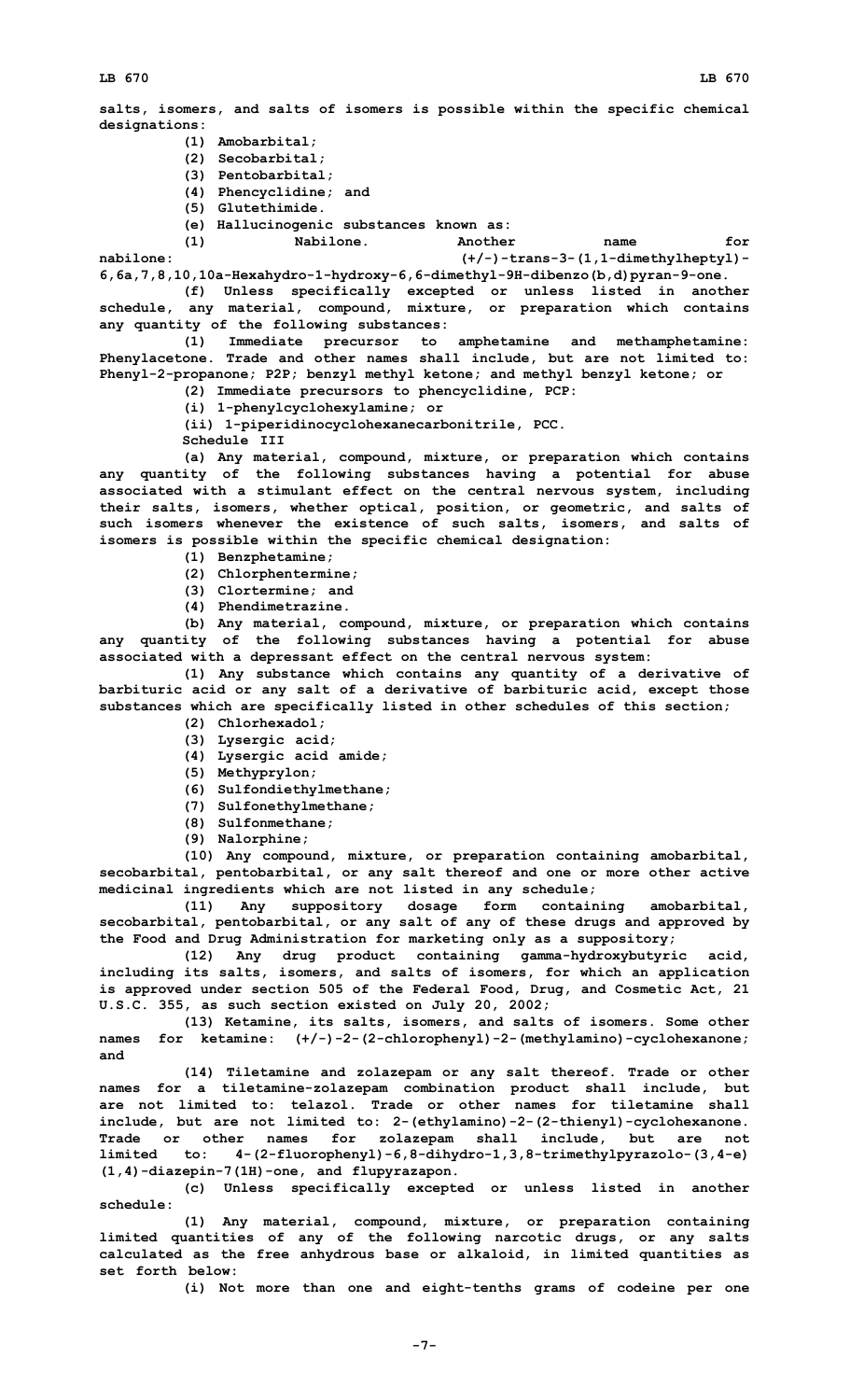**salts, isomers, and salts of isomers is possible within the specific chemical designations:**

- **(1) Amobarbital;**
- **(2) Secobarbital;**
- **(3) Pentobarbital;**
- **(4) Phencyclidine; and**
- **(5) Glutethimide.**
- **(e) Hallucinogenic substances known as:**

**(1) Nabilone. Another name for**

**nabilone: (+/-)-trans-3-(1,1-dimethylheptyl)- 6,6a,7,8,10,10a-Hexahydro-1-hydroxy-6,6-dimethyl-9H-dibenzo(b,d)pyran-9-one.**

**(f) Unless specifically excepted or unless listed in another schedule, any material, compound, mixture, or preparation which contains any quantity of the following substances:**

**(1) Immediate precursor to amphetamine and methamphetamine: Phenylacetone. Trade and other names shall include, but are not limited to: Phenyl-2-propanone; P2P; benzyl methyl ketone; and methyl benzyl ketone; or**

- **(2) Immediate precursors to phencyclidine, PCP:**
- **(i) 1-phenylcyclohexylamine; or**

**(ii) 1-piperidinocyclohexanecarbonitrile, PCC.**

**Schedule III**

**(a) Any material, compound, mixture, or preparation which contains any quantity of the following substances having <sup>a</sup> potential for abuse associated with <sup>a</sup> stimulant effect on the central nervous system, including their salts, isomers, whether optical, position, or geometric, and salts of such isomers whenever the existence of such salts, isomers, and salts of isomers is possible within the specific chemical designation:**

- **(1) Benzphetamine;**
- **(2) Chlorphentermine;**
- **(3) Clortermine; and**
- **(4) Phendimetrazine.**

**(b) Any material, compound, mixture, or preparation which contains any quantity of the following substances having <sup>a</sup> potential for abuse associated with <sup>a</sup> depressant effect on the central nervous system:**

**(1) Any substance which contains any quantity of <sup>a</sup> derivative of barbituric acid or any salt of <sup>a</sup> derivative of barbituric acid, except those substances which are specifically listed in other schedules of this section;**

- **(2) Chlorhexadol;**
- **(3) Lysergic acid;**
- **(4) Lysergic acid amide;**
- **(5) Methyprylon;**
- **(6) Sulfondiethylmethane;**
- **(7) Sulfonethylmethane;**
- **(8) Sulfonmethane; (9) Nalorphine;**

**(10) Any compound, mixture, or preparation containing amobarbital, secobarbital, pentobarbital, or any salt thereof and one or more other active medicinal ingredients which are not listed in any schedule;**

**(11) Any suppository dosage form containing amobarbital, secobarbital, pentobarbital, or any salt of any of these drugs and approved by the Food and Drug Administration for marketing only as <sup>a</sup> suppository;**

**(12) Any drug product containing gamma-hydroxybutyric acid, including its salts, isomers, and salts of isomers, for which an application is approved under section 505 of the Federal Food, Drug, and Cosmetic Act, 21 U.S.C. 355, as such section existed on July 20, 2002;**

**(13) Ketamine, its salts, isomers, and salts of isomers. Some other names for ketamine: (+/-)-2-(2-chlorophenyl)-2-(methylamino)-cyclohexanone; and**

**(14) Tiletamine and zolazepam or any salt thereof. Trade or other names for <sup>a</sup> tiletamine-zolazepam combination product shall include, but are not limited to: telazol. Trade or other names for tiletamine shall include, but are not limited to: 2-(ethylamino)-2-(2-thienyl)-cyclohexanone. Trade or other names for zolazepam shall include, but are not limited to: 4-(2-fluorophenyl)-6,8-dihydro-1,3,8-trimethylpyrazolo-(3,4-e) (1,4)-diazepin-7(1H)-one, and flupyrazapon.**

**(c) Unless specifically excepted or unless listed in another schedule:**

**(1) Any material, compound, mixture, or preparation containing limited quantities of any of the following narcotic drugs, or any salts calculated as the free anhydrous base or alkaloid, in limited quantities as set forth below:**

**(i) Not more than one and eight-tenths grams of codeine per one**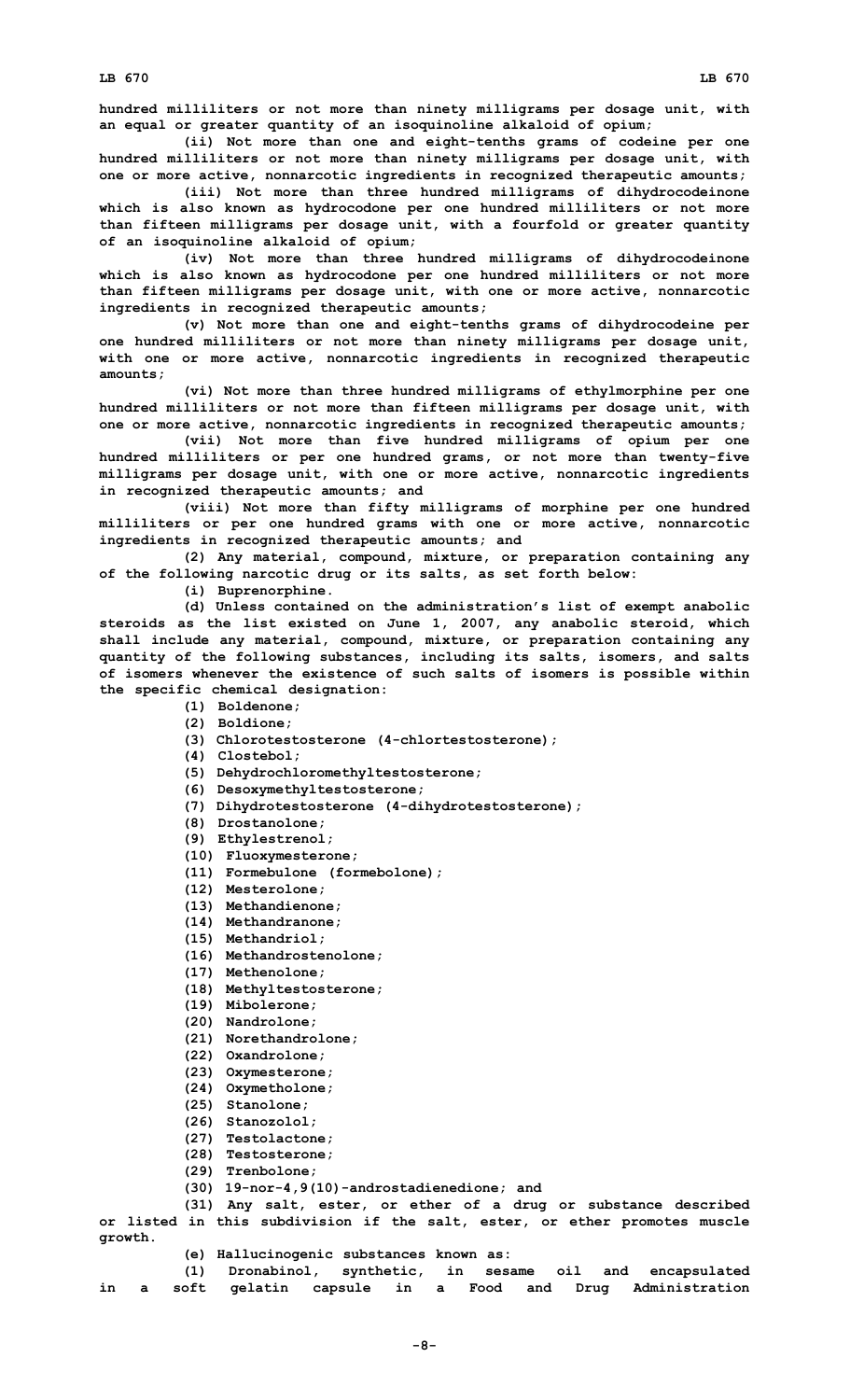**hundred milliliters or not more than ninety milligrams per dosage unit, with an equal or greater quantity of an isoquinoline alkaloid of opium;**

**(ii) Not more than one and eight-tenths grams of codeine per one hundred milliliters or not more than ninety milligrams per dosage unit, with one or more active, nonnarcotic ingredients in recognized therapeutic amounts;**

**(iii) Not more than three hundred milligrams of dihydrocodeinone which is also known as hydrocodone per one hundred milliliters or not more than fifteen milligrams per dosage unit, with <sup>a</sup> fourfold or greater quantity of an isoquinoline alkaloid of opium;**

**(iv) Not more than three hundred milligrams of dihydrocodeinone which is also known as hydrocodone per one hundred milliliters or not more than fifteen milligrams per dosage unit, with one or more active, nonnarcotic ingredients in recognized therapeutic amounts;**

**(v) Not more than one and eight-tenths grams of dihydrocodeine per one hundred milliliters or not more than ninety milligrams per dosage unit, with one or more active, nonnarcotic ingredients in recognized therapeutic amounts;**

**(vi) Not more than three hundred milligrams of ethylmorphine per one hundred milliliters or not more than fifteen milligrams per dosage unit, with one or more active, nonnarcotic ingredients in recognized therapeutic amounts;**

**(vii) Not more than five hundred milligrams of opium per one hundred milliliters or per one hundred grams, or not more than twenty-five milligrams per dosage unit, with one or more active, nonnarcotic ingredients in recognized therapeutic amounts; and**

**(viii) Not more than fifty milligrams of morphine per one hundred milliliters or per one hundred grams with one or more active, nonnarcotic ingredients in recognized therapeutic amounts; and**

**(2) Any material, compound, mixture, or preparation containing any of the following narcotic drug or its salts, as set forth below:**

**(i) Buprenorphine.**

**(d) Unless contained on the administration's list of exempt anabolic steroids as the list existed on June 1, 2007, any anabolic steroid, which shall include any material, compound, mixture, or preparation containing any quantity of the following substances, including its salts, isomers, and salts of isomers whenever the existence of such salts of isomers is possible within the specific chemical designation:**

## **(1) Boldenone;**

- **(2) Boldione;**
- **(3) Chlorotestosterone (4-chlortestosterone);**
- **(4) Clostebol;**
- **(5) Dehydrochloromethyltestosterone;**
- **(6) Desoxymethyltestosterone;**
- **(7) Dihydrotestosterone (4-dihydrotestosterone);**
- **(8) Drostanolone;**
- **(9) Ethylestrenol;**
- **(10) Fluoxymesterone;**
- **(11) Formebulone (formebolone);**
- **(12) Mesterolone;**
- **(13) Methandienone;**
- **(14) Methandranone;**
- **(15) Methandriol;**
- **(16) Methandrostenolone;**
- **(17) Methenolone;**
- **(18) Methyltestosterone;**
- **(19) Mibolerone;**
- **(20) Nandrolone;**
- **(21) Norethandrolone;**
- **(22) Oxandrolone;**
- **(23) Oxymesterone;**
- **(24) Oxymetholone;**
- **(25) Stanolone;**
- **(26) Stanozolol;**
- **(27) Testolactone;**
- **(28) Testosterone;**
- **(29) Trenbolone;**
- **(30) 19-nor-4,9(10)-androstadienedione; and**

**(31) Any salt, ester, or ether of <sup>a</sup> drug or substance described or listed in this subdivision if the salt, ester, or ether promotes muscle growth.**

**(e) Hallucinogenic substances known as:**

**(1) Dronabinol, synthetic, in sesame oil and encapsulated in <sup>a</sup> soft gelatin capsule in <sup>a</sup> Food and Drug Administration**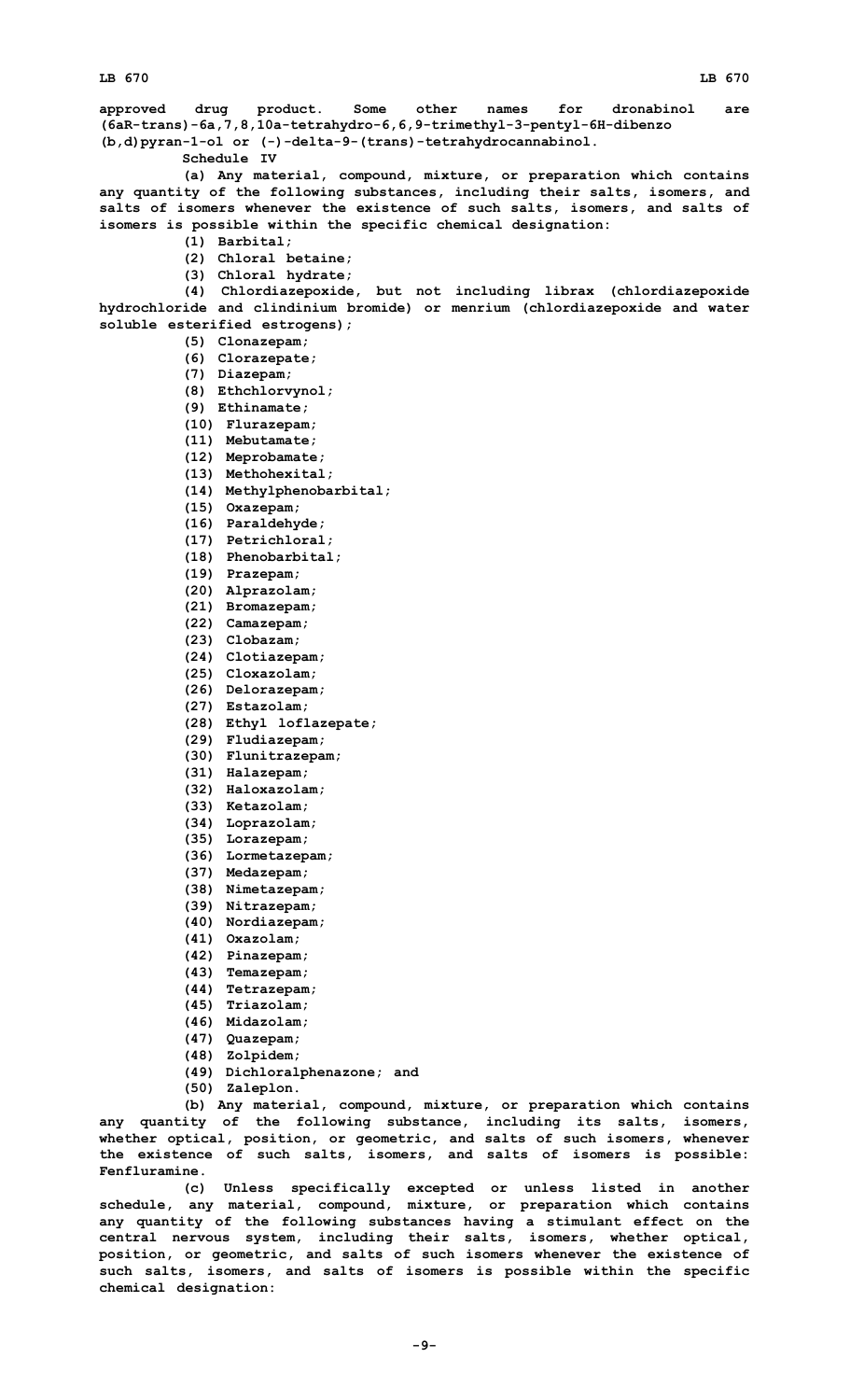**Fenfluramine.**

**LB 670 LB 670 approved drug product. Some other names for dronabinol are (6aR-trans)-6a,7,8,10a-tetrahydro-6,6,9-trimethyl-3-pentyl-6H-dibenzo (b,d)pyran-1-ol or (-)-delta-9-(trans)-tetrahydrocannabinol. Schedule IV (a) Any material, compound, mixture, or preparation which contains any quantity of the following substances, including their salts, isomers, and salts of isomers whenever the existence of such salts, isomers, and salts of isomers is possible within the specific chemical designation: (1) Barbital; (2) Chloral betaine; (3) Chloral hydrate; (4) Chlordiazepoxide, but not including librax (chlordiazepoxide hydrochloride and clindinium bromide) or menrium (chlordiazepoxide and water soluble esterified estrogens); (5) Clonazepam; (6) Clorazepate; (7) Diazepam; (8) Ethchlorvynol; (9) Ethinamate; (10) Flurazepam; (11) Mebutamate; (12) Meprobamate; (13) Methohexital; (14) Methylphenobarbital; (15) Oxazepam; (16) Paraldehyde; (17) Petrichloral; (18) Phenobarbital; (19) Prazepam; (20) Alprazolam; (21) Bromazepam; (22) Camazepam; (23) Clobazam; (24) Clotiazepam; (25) Cloxazolam; (26) Delorazepam; (27) Estazolam; (28) Ethyl loflazepate; (29) Fludiazepam; (30) Flunitrazepam; (31) Halazepam; (32) Haloxazolam; (33) Ketazolam; (34) Loprazolam; (35) Lorazepam; (36) Lormetazepam; (37) Medazepam; (38) Nimetazepam; (39) Nitrazepam; (40) Nordiazepam; (41) Oxazolam; (42) Pinazepam; (43) Temazepam; (44) Tetrazepam; (45) Triazolam; (46) Midazolam; (47) Quazepam; (48) Zolpidem; (49) Dichloralphenazone; and (50) Zaleplon. (b) Any material, compound, mixture, or preparation which contains any quantity of the following substance, including its salts, isomers, whether optical, position, or geometric, and salts of such isomers, whenever the existence of such salts, isomers, and salts of isomers is possible:**

**(c) Unless specifically excepted or unless listed in another schedule, any material, compound, mixture, or preparation which contains any quantity of the following substances having <sup>a</sup> stimulant effect on the central nervous system, including their salts, isomers, whether optical, position, or geometric, and salts of such isomers whenever the existence of such salts, isomers, and salts of isomers is possible within the specific chemical designation:**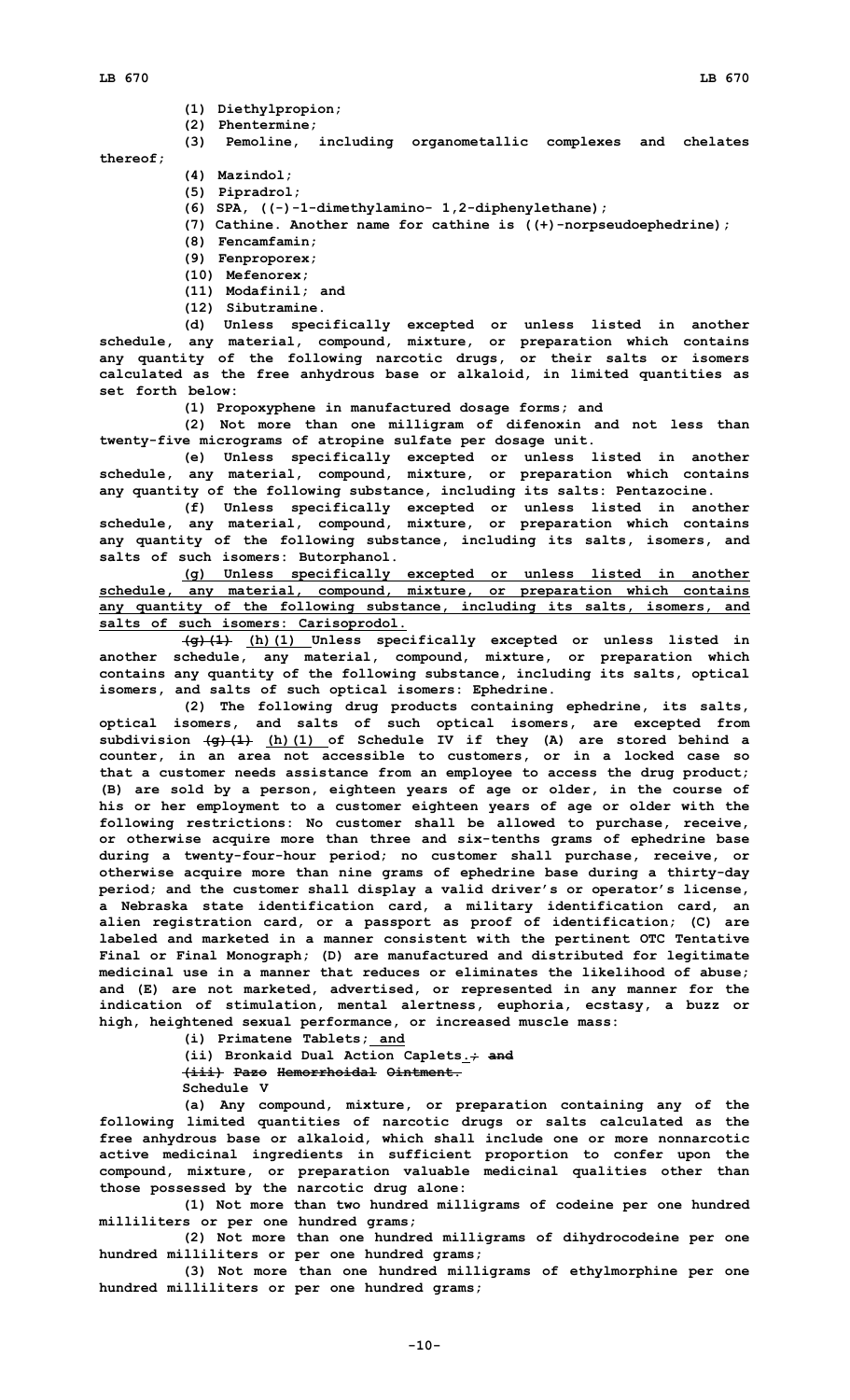- **(1) Diethylpropion;**
- **(2) Phentermine;**

**(3) Pemoline, including organometallic complexes and chelates thereof;**

- **(4) Mazindol;**
	- **(5) Pipradrol;**
	- **(6) SPA, ((-)-1-dimethylamino- 1,2-diphenylethane);**
	- **(7) Cathine. Another name for cathine is ((+)-norpseudoephedrine);**
	- **(8) Fencamfamin;**
	- **(9) Fenproporex;**
	- **(10) Mefenorex;**
	- **(11) Modafinil; and**
	- **(12) Sibutramine.**

**(d) Unless specifically excepted or unless listed in another schedule, any material, compound, mixture, or preparation which contains any quantity of the following narcotic drugs, or their salts or isomers calculated as the free anhydrous base or alkaloid, in limited quantities as set forth below:**

**(1) Propoxyphene in manufactured dosage forms; and**

**(2) Not more than one milligram of difenoxin and not less than twenty-five micrograms of atropine sulfate per dosage unit.**

**(e) Unless specifically excepted or unless listed in another schedule, any material, compound, mixture, or preparation which contains any quantity of the following substance, including its salts: Pentazocine.**

**(f) Unless specifically excepted or unless listed in another schedule, any material, compound, mixture, or preparation which contains any quantity of the following substance, including its salts, isomers, and salts of such isomers: Butorphanol.**

**(g) Unless specifically excepted or unless listed in another schedule, any material, compound, mixture, or preparation which contains any quantity of the following substance, including its salts, isomers, and salts of such isomers: Carisoprodol.**

**(g)(1) (h)(1) Unless specifically excepted or unless listed in another schedule, any material, compound, mixture, or preparation which contains any quantity of the following substance, including its salts, optical isomers, and salts of such optical isomers: Ephedrine.**

**(2) The following drug products containing ephedrine, its salts, optical isomers, and salts of such optical isomers, are excepted from subdivision (g)(1) (h)(1) of Schedule IV if they (A) are stored behind <sup>a</sup> counter, in an area not accessible to customers, or in <sup>a</sup> locked case so that <sup>a</sup> customer needs assistance from an employee to access the drug product; (B) are sold by <sup>a</sup> person, eighteen years of age or older, in the course of his or her employment to <sup>a</sup> customer eighteen years of age or older with the following restrictions: No customer shall be allowed to purchase, receive, or otherwise acquire more than three and six-tenths grams of ephedrine base during <sup>a</sup> twenty-four-hour period; no customer shall purchase, receive, or otherwise acquire more than nine grams of ephedrine base during <sup>a</sup> thirty-day period; and the customer shall display <sup>a</sup> valid driver's or operator's license, <sup>a</sup> Nebraska state identification card, <sup>a</sup> military identification card, an alien registration card, or <sup>a</sup> passport as proof of identification; (C) are labeled and marketed in <sup>a</sup> manner consistent with the pertinent OTC Tentative Final or Final Monograph; (D) are manufactured and distributed for legitimate medicinal use in <sup>a</sup> manner that reduces or eliminates the likelihood of abuse; and (E) are not marketed, advertised, or represented in any manner for the indication of stimulation, mental alertness, euphoria, ecstasy, <sup>a</sup> buzz or high, heightened sexual performance, or increased muscle mass:**

**(i) Primatene Tablets; and**

**(ii) Bronkaid Dual Action Caplets.; and (iii) Pazo Hemorrhoidal Ointment.**

**Schedule V**

**(a) Any compound, mixture, or preparation containing any of the following limited quantities of narcotic drugs or salts calculated as the free anhydrous base or alkaloid, which shall include one or more nonnarcotic active medicinal ingredients in sufficient proportion to confer upon the compound, mixture, or preparation valuable medicinal qualities other than those possessed by the narcotic drug alone:**

**(1) Not more than two hundred milligrams of codeine per one hundred milliliters or per one hundred grams;**

**(2) Not more than one hundred milligrams of dihydrocodeine per one hundred milliliters or per one hundred grams;**

**(3) Not more than one hundred milligrams of ethylmorphine per one hundred milliliters or per one hundred grams;**